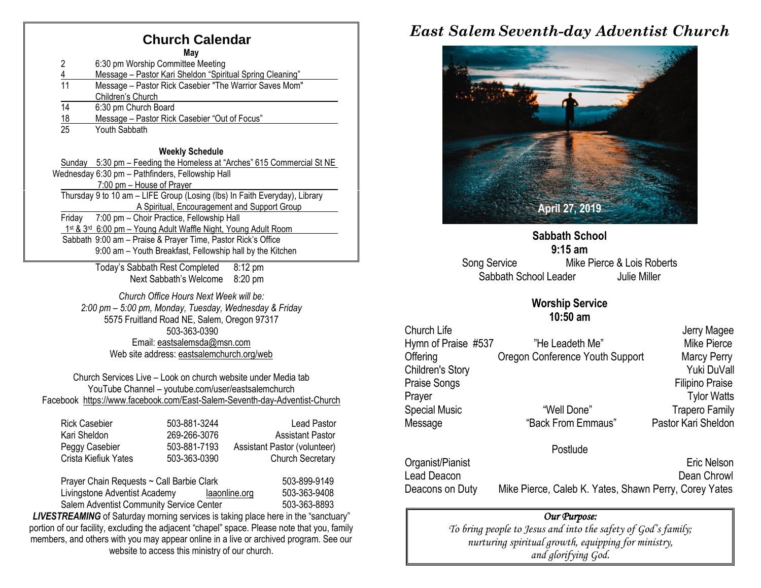#### **Church Calendar**

**May**

2 6:30 pm Worship Committee Meeting 4 Message – Pastor Kari Sheldon "Spiritual Spring Cleaning" 11 Message – Pastor Rick Casebier "The Warrior Saves Mom" Children's Church 14 6:30 pm Church Board 18 Message – Pastor Rick Casebier "Out of Focus"<br>25 Youth Sabbath Youth Sabbath

#### **Weekly Schedule**

Sunday 5:30 pm – Feeding the Homeless at "Arches" 615 Commercial St NE Wednesday 6:30 pm – Pathfinders, Fellowship Hall 7:00 pm – House of Prayer Thursday 9 to 10 am – LIFE Group (Losing (lbs) In Faith Everyday), Library A Spiritual, Encouragement and Support Group Friday 7:00 pm – Choir Practice, Fellowship Hall 1st & 3<sup>rd</sup> 6:00 pm - Young Adult Waffle Night, Young Adult Room Sabbath 9:00 am – Praise & Prayer Time, Pastor Rick's Office 9:00 am – Youth Breakfast, Fellowship hall by the Kitchen

> Today's Sabbath Rest Completed 8:12 pm Next Sabbath's Welcome 8:20 pm

*Church Office Hours Next Week will be: 2:00 pm – 5:00 pm, Monday, Tuesday, Wednesday & Friday* 5575 Fruitland Road NE, Salem, Oregon 97317 503-363-0390 Email: [eastsalemsda@msn.com](mailto:eastsalemsda@msn.com) Web site address[: eastsalemchurch.org/w](http://eastsalem.adventists.info/)eb

Church Services Live – Look on church website under Media tab YouTube Channel – youtube.com/user/eastsalemchurch Facebook [https://www.facebook.com/East-Salem-Seventh-day-Adventist-Church](https://www.facebook.com/East-Salem-Seventh-day-Adventist-Church-111402832212994/?fref=ts)

| <b>Rick Casebier</b> | 503-881-3244 | Lead Pastor                  |
|----------------------|--------------|------------------------------|
| Kari Sheldon         | 269-266-3076 | <b>Assistant Pastor</b>      |
| Peggy Casebier       | 503-881-7193 | Assistant Pastor (volunteer) |
| Crista Kiefiuk Yates | 503-363-0390 | <b>Church Secretary</b>      |
|                      |              |                              |

Prayer Chain Requests ~ Call Barbie Clark 503-899-9149 Livingstone Adventist Academy [laaonline.org](http://www.laa.info/) 503-363-9408 Salem Adventist Community Service Center 503-363-8893

**LIVESTREAMING** of Saturday morning services is taking place here in the "sanctuary" portion of our facility, excluding the adjacent "chapel" space. Please note that you, family members, and others with you may appear online in a live or archived program. See our website to access this ministry of our church.

### *East Salem Seventh-day Adventist Church*



**Sabbath School 9:15 am** Song Service Mike Pierce & Lois Roberts Sabbath School Leader Julie Miller

#### **Worship Service**

|                      | $10:50$ am                      |                        |
|----------------------|---------------------------------|------------------------|
| Church Life          |                                 | Jerry Magee            |
| Hymn of Praise #537  | "He Leadeth Me"                 | Mike Pierce            |
| Offering             | Oregon Conference Youth Support | <b>Marcy Perry</b>     |
| Children's Story     |                                 | Yuki DuVall            |
| Praise Songs         |                                 | <b>Filipino Praise</b> |
| Prayer               |                                 | <b>Tylor Watts</b>     |
| <b>Special Music</b> | "Well Done"                     | <b>Trapero Family</b>  |
| Message              | "Back From Emmaus"              | Pastor Kari Sheldon    |
|                      |                                 |                        |

#### Postlude

Organist/Pianist Eric Nelson Lead Deacon **Dean Chrowl** Deacons on Duty Mike Pierce, Caleb K. Yates, Shawn Perry, Corey Yates

#### *Our Purpose:*

*To bring people to Jesus and into the safety of God's family; nurturing spiritual growth, equipping for ministry, and glorifying God.*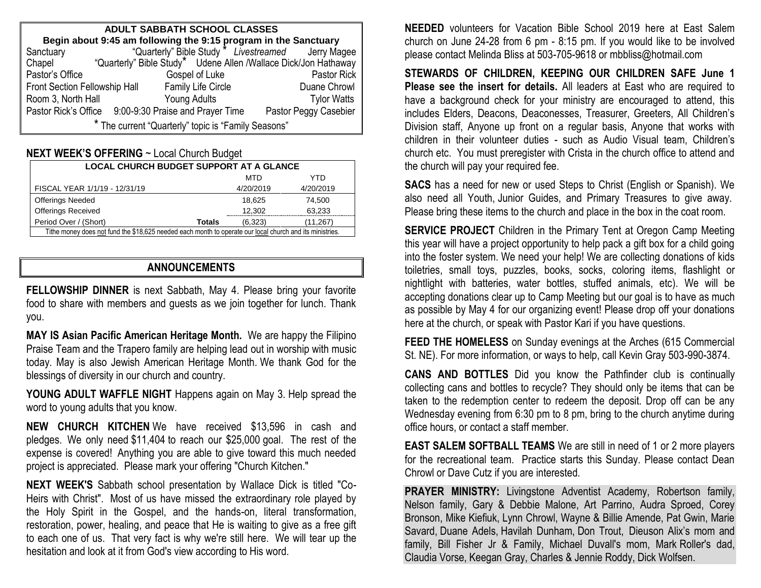| <b>ADULT SABBATH SCHOOL CLASSES</b>                             |                                                       |  |                                                                 |  |  |  |
|-----------------------------------------------------------------|-------------------------------------------------------|--|-----------------------------------------------------------------|--|--|--|
| Begin about 9:45 am following the 9:15 program in the Sanctuary |                                                       |  |                                                                 |  |  |  |
| Sanctuary                                                       |                                                       |  | "Quarterly" Bible Study * Livestreamed Jerry Magee              |  |  |  |
| Chapel                                                          |                                                       |  | "Quarterly" Bible Study* Udene Allen /Wallace Dick/Jon Hathaway |  |  |  |
| Pastor's Office                                                 | Gospel of Luke                                        |  | Pastor Rick                                                     |  |  |  |
| <b>Family Life Circle</b><br>Front Section Fellowship Hall      |                                                       |  | Duane Chrowl                                                    |  |  |  |
| Room 3, North Hall                                              | Young Adults                                          |  | <b>Tylor Watts</b>                                              |  |  |  |
|                                                                 | Pastor Rick's Office 9:00-9:30 Praise and Prayer Time |  | Pastor Peggy Casebier                                           |  |  |  |
| * The current "Quarterly" topic is "Family Seasons"             |                                                       |  |                                                                 |  |  |  |

#### **NEXT WEEK'S OFFERING** ~ Local Church Budget

| <b>LOCAL CHURCH BUDGET SUPPORT AT A GLANCE</b>                                                           |           |           |  |  |  |
|----------------------------------------------------------------------------------------------------------|-----------|-----------|--|--|--|
|                                                                                                          | MTD       | YTN       |  |  |  |
| FISCAL YEAR 1/1/19 - 12/31/19                                                                            | 4/20/2019 | 4/20/2019 |  |  |  |
| <b>Offerings Needed</b>                                                                                  | 18.625    | 74.500    |  |  |  |
| <b>Offerings Received</b>                                                                                | 12.302    | 63,233    |  |  |  |
| Period Over / (Short)<br><b>Totals</b>                                                                   | (6,323)   | (11, 267) |  |  |  |
| Tithe money does not fund the \$18,625 needed each month to operate our local church and its ministries. |           |           |  |  |  |

#### **ANNOUNCEMENTS**

**FELLOWSHIP DINNER** is next Sabbath, May 4. Please bring your favorite food to share with members and guests as we join together for lunch. Thank you.

**MAY IS Asian Pacific American Heritage Month.** We are happy the Filipino Praise Team and the Trapero family are helping lead out in worship with music today. May is also Jewish American Heritage Month. We thank God for the blessings of diversity in our church and country.

YOUNG ADULT WAFFLE NIGHT Happens again on May 3. Help spread the word to young adults that you know.

**NEW CHURCH KITCHEN** We have received \$13,596 in cash and pledges. We only need \$11,404 to reach our \$25,000 goal. The rest of the expense is covered! Anything you are able to give toward this much needed project is appreciated. Please mark your offering "Church Kitchen."

**NEXT WEEK'S** Sabbath school presentation by Wallace Dick is titled "Co-Heirs with Christ". Most of us have missed the extraordinary role played by the Holy Spirit in the Gospel, and the hands-on, literal transformation, restoration, power, healing, and peace that He is waiting to give as a free gift to each one of us. That very fact is why we're still here. We will tear up the hesitation and look at it from God's view according to His word.

**NEEDED** volunteers for Vacation Bible School 2019 here at East Salem church on June 24-28 from 6 pm - 8:15 pm. If you would like to be involved please contact Melinda Bliss at 503-705-9618 or [mbbliss@hotmail.com](mailto:mbbliss@hotmail.com)

**STEWARDS OF CHILDREN, KEEPING OUR CHILDREN SAFE June 1 Please see the insert for details.** All leaders at East who are required to have a background check for your ministry are encouraged to attend, this includes Elders, Deacons, Deaconesses, Treasurer, Greeters, All Children's Division staff, Anyone up front on a regular basis, Anyone that works with children in their volunteer duties - such as Audio Visual team, Children's church etc. You must preregister with Crista in the church office to attend and the church will pay your required fee.

**SACS** has a need for new or used Steps to Christ (English or Spanish). We also need all Youth, Junior Guides, and Primary Treasures to give away. Please bring these items to the church and place in the box in the coat room.

**SERVICE PROJECT** Children in the Primary Tent at Oregon Camp Meeting this year will have a project opportunity to help pack a gift box for a child going into the foster system. We need your help! We are collecting donations of kids toiletries, small toys, puzzles, books, socks, coloring items, flashlight or nightlight with batteries, water bottles, stuffed animals, etc). We will be accepting donations clear up to Camp Meeting but our goal is to have as much as possible by May 4 for our organizing event! Please drop off your donations here at the church, or speak with Pastor Kari if you have questions.

**FEED THE HOMELESS** on Sunday evenings at the Arches (615 Commercial St. NE). For more information, or ways to help, call Kevin Gray 503-990-3874.

**CANS AND BOTTLES** Did you know the Pathfinder club is continually collecting cans and bottles to recycle? They should only be items that can be taken to the redemption center to redeem the deposit. Drop off can be any Wednesday evening from 6:30 pm to 8 pm, bring to the church anytime during office hours, or contact a staff member.

**EAST SALEM SOFTBALL TEAMS** We are still in need of 1 or 2 more players for the recreational team. Practice starts this Sunday. Please contact Dean Chrowl or Dave Cutz if you are interested.

**PRAYER MINISTRY:** Livingstone Adventist Academy, Robertson family, Nelson family, Gary & Debbie Malone, Art Parrino, Audra Sproed, Corey Bronson, Mike Kiefiuk, Lynn Chrowl, Wayne & Billie Amende, Pat Gwin, Marie Savard, Duane Adels, Havilah Dunham, Don Trout, Dieuson Alix's mom and family, Bill Fisher Jr & Family, Michael Duvall's mom, Mark Roller's dad, Claudia Vorse, Keegan Gray, Charles & Jennie Roddy, Dick Wolfsen.